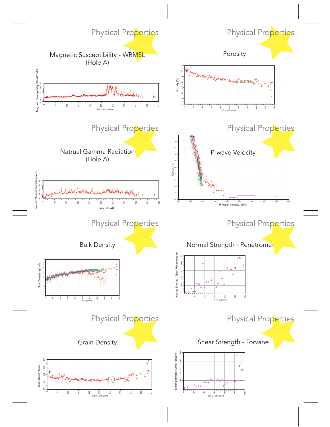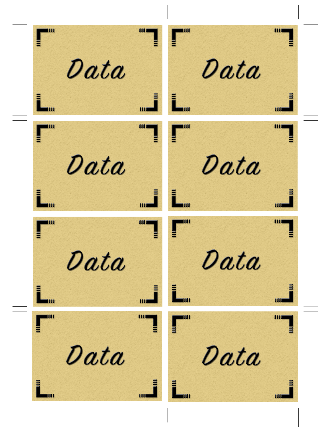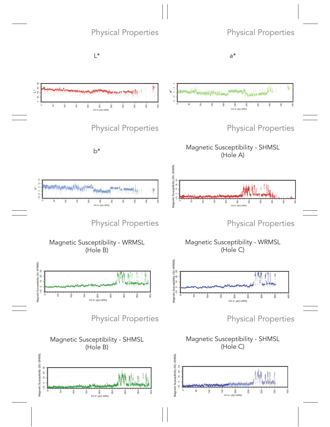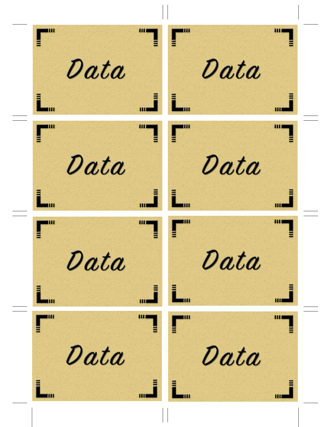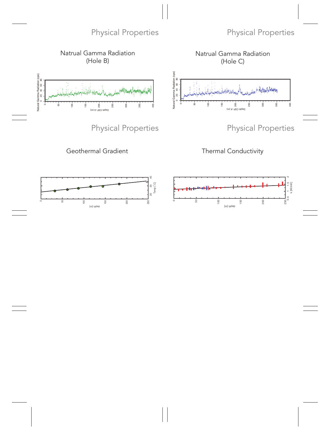